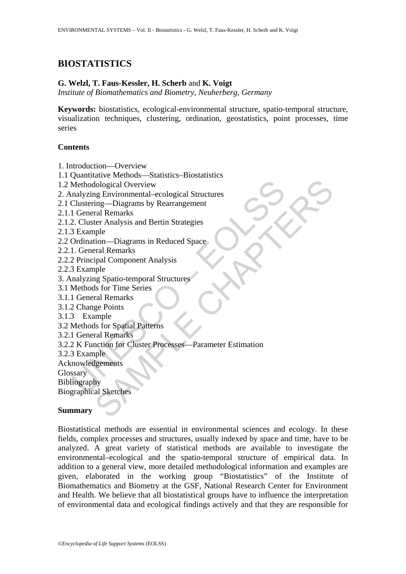# **BIOSTATISTICS**

### **G. Welzl, T. Faus-Kessler, H. Scherb** and **K. Voigt**

*Institute of Biomathematics and Biometry, Neuherberg, Germany* 

**Keywords:** biostatistics, ecological-environmental structure, spatio-temporal structure, visualization techniques, clustering, ordination, geostatistics, point processes, time series

### **Contents**

1. Introduction—Overview

1.1 Quantitative Methods—Statistics–Biostatistics

1.2 Methodological Overview

2. Analyzing Environmental–ecological Structures

2.1 Clustering—Diagrams by Rearrangement

2.1.1 General Remarks

2.1.2. Cluster Analysis and Bertin Strategies

2.1.3 Example

2.2 Ordination—Diagrams in Reduced Space

2.2.1. General Remarks

- 2.2.2 Principal Component Analysis
- 2.2.3 Example
- 3. Analyzing Spatio-temporal Structures
- 3.1 Methods for Time Series
- 3.1.1 General Remarks
- 3.1.2 Change Points
- 3.1.3 Example
- 3.2 Methods for Spatial Patterns
- 3.2.1 General Remarks

Methodological Overview<br>
malyzing Environmental-ecological Structures<br>
Clustering—Diagrams by Rearrangement<br>
1 General Remarks<br>
2. Cluster Analysis and Bertin Strategies<br>
3 Example<br>
Ordination—Diagrams in Reduced Space<br>
1. de Chapter<br>
Samp-Diagrams by Rearrangement<br>
Ing-Diagrams by Rearrangement<br>
ral Remarks<br>
ter Analysis and Bertin Strategies<br>
ple<br>
tion-Diagrams in Reduced Space<br>
ral Aemarks<br>
ple Spatio-temporal Structures<br>
is for Spatial P 3.2.2 K Function for Cluster Processes—Parameter Estimation

3.2.3 Example

Acknowledgements

**Glossary** 

Bibliography

Biographical Sketches

## **Summary**

Biostatistical methods are essential in environmental sciences and ecology. In these fields, complex processes and structures, usually indexed by space and time, have to be analyzed. A great variety of statistical methods are available to investigate the environmental–ecological and the spatio-temporal structure of empirical data. In addition to a general view, more detailed methodological information and examples are given, elaborated in the working group "Biostatistics" of the Institute of Biomathematics and Biometry at the GSF, National Research Center for Environment and Health. We believe that all biostatistical groups have to influence the interpretation of environmental data and ecological findings actively and that they are responsible for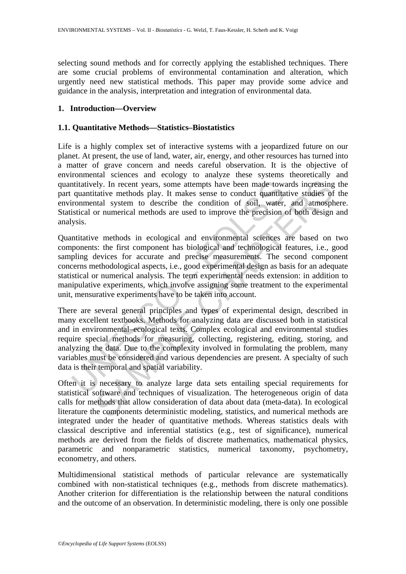selecting sound methods and for correctly applying the established techniques. There are some crucial problems of environmental contamination and alteration, which urgently need new statistical methods. This paper may provide some advice and guidance in the analysis, interpretation and integration of environmental data.

# **1. Introduction—Overview**

## **1.1. Quantitative Methods—Statistics–Biostatistics**

Life is a highly complex set of interactive systems with a jeopardized future on our planet. At present, the use of land, water, air, energy, and other resources has turned into a matter of grave concern and needs careful observation. It is the objective of environmental sciences and ecology to analyze these systems theoretically and quantitatively. In recent years, some attempts have been made towards increasing the part quantitative methods play. It makes sense to conduct quantitative studies of the environmental system to describe the condition of soil, water, and atmosphere. Statistical or numerical methods are used to improve the precision of both design and analysis.

Quantitative methods in ecological and environmental sciences are based on two components: the first component has biological and technological features, i.e., good sampling devices for accurate and precise measurements. The second component concerns methodological aspects, i.e., good experimental design as basis for an adequate statistical or numerical analysis. The term experimental needs extension: in addition to manipulative experiments, which involve assigning some treatment to the experimental unit, mensurative experiments have to be taken into account.

notical system and space of external shares are present. A<br>share and the interaction of the state share and the state share and the<br>stricture members of solid swater, system to describe the condition of soli, water, sistic ely. In recent years, some attempts have been made towards increasing<br>tative methods play. It makes sense to conduct quantitative stidies of<br>that system to describe the condition of soil, water, and atmosph<br>or numerical me There are several general principles and types of experimental design, described in many excellent textbooks. Methods for analyzing data are discussed both in statistical and in environmental–ecological texts. Complex ecological and environmental studies require special methods for measuring, collecting, registering, editing, storing, and analyzing the data. Due to the complexity involved in formulating the problem, many variables must be considered and various dependencies are present. A specialty of such data is their temporal and spatial variability.

Often it is necessary to analyze large data sets entailing special requirements for statistical software and techniques of visualization. The heterogeneous origin of data calls for methods that allow consideration of data about data (meta-data). In ecological literature the components deterministic modeling, statistics, and numerical methods are integrated under the header of quantitative methods. Whereas statistics deals with classical descriptive and inferential statistics (e.g., test of significance), numerical methods are derived from the fields of discrete mathematics, mathematical physics, parametric and nonparametric statistics, numerical taxonomy, psychometry, econometry, and others.

Multidimensional statistical methods of particular relevance are systematically combined with non-statistical techniques (e.g., methods from discrete mathematics). Another criterion for differentiation is the relationship between the natural conditions and the outcome of an observation. In deterministic modeling, there is only one possible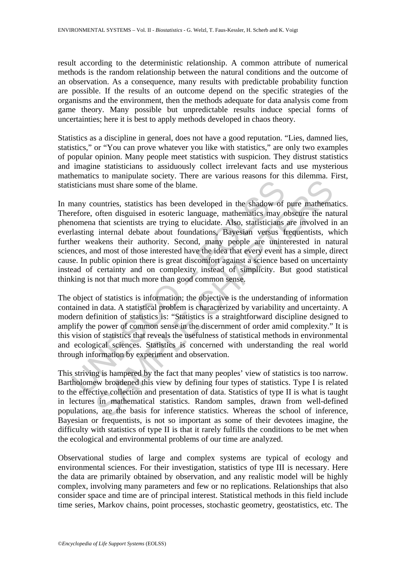result according to the deterministic relationship. A common attribute of numerical methods is the random relationship between the natural conditions and the outcome of an observation. As a consequence, many results with predictable probability function are possible. If the results of an outcome depend on the specific strategies of the organisms and the environment, then the methods adequate for data analysis come from game theory. Many possible but unpredictable results induce special forms of uncertainties; here it is best to apply methods developed in chaos theory.

Statistics as a discipline in general, does not have a good reputation. "Lies, damned lies, statistics," or "You can prove whatever you like with statistics," are only two examples of popular opinion. Many people meet statistics with suspicion. They distrust statistics and imagine statisticians to assiduously collect irrelevant facts and use mysterious mathematics to manipulate society. There are various reasons for this dilemma. First, statisticians must share some of the blame.

sticians must share some of the blame.<br>
nany countries, statistics has been developed in the shadow of<br>
refore, often disguised in esoteric language, mathematics may c<br>
nonomen a that scientists are trying to elucidate. Al s must share some of the blame.<br>
Somewheat share some of the blame.<br>
Somewheat share some of the blame.<br>
Ountries, statistics has been developed in the shadow of pure mathema<br>
often disguised in esoteric language, mathemat In many countries, statistics has been developed in the shadow of pure mathematics. Therefore, often disguised in esoteric language, mathematics may obscure the natural phenomena that scientists are trying to elucidate. Also, statisticians are involved in an everlasting internal debate about foundations, Bayesian versus frequentists, which further weakens their authority. Second, many people are uninterested in natural sciences, and most of those interested have the idea that every event has a simple, direct cause. In public opinion there is great discomfort against a science based on uncertainty instead of certainty and on complexity instead of simplicity. But good statistical thinking is not that much more than good common sense.

The object of statistics is information; the objective is the understanding of information contained in data. A statistical problem is characterized by variability and uncertainty. A modern definition of statistics is: "Statistics is a straightforward discipline designed to amplify the power of common sense in the discernment of order amid complexity." It is this vision of statistics that reveals the usefulness of statistical methods in environmental and ecological sciences. Statistics is concerned with understanding the real world through information by experiment and observation.

This striving is hampered by the fact that many peoples' view of statistics is too narrow. Bartholomew broadened this view by defining four types of statistics. Type I is related to the effective collection and presentation of data. Statistics of type II is what is taught in lectures in mathematical statistics. Random samples, drawn from well-defined populations, are the basis for inference statistics. Whereas the school of inference, Bayesian or frequentists, is not so important as some of their devotees imagine, the difficulty with statistics of type II is that it rarely fulfills the conditions to be met when the ecological and environmental problems of our time are analyzed.

Observational studies of large and complex systems are typical of ecology and environmental sciences. For their investigation, statistics of type III is necessary. Here the data are primarily obtained by observation, and any realistic model will be highly complex, involving many parameters and few or no replications. Relationships that also consider space and time are of principal interest. Statistical methods in this field include time series, Markov chains, point processes, stochastic geometry, geostatistics, etc. The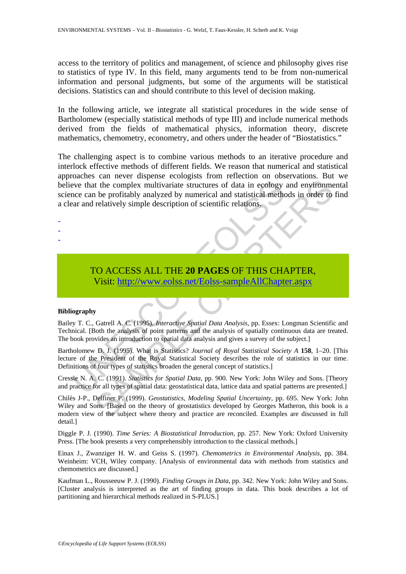access to the territory of politics and management, of science and philosophy gives rise to statistics of type IV. In this field, many arguments tend to be from non-numerical information and personal judgments, but some of the arguments will be statistical decisions. Statistics can and should contribute to this level of decision making.

In the following article, we integrate all statistical procedures in the wide sense of Bartholomew (especially statistical methods of type III) and include numerical methods derived from the fields of mathematical physics, information theory, discrete mathematics, chemometry, econometry, and others under the header of "Biostatistics."

Event the complex multivariate structures of data in ecology<br>
ince can be profitably analyzed by numerical and statistical method<br>
are and relatively simple description of scientific relations.<br>
TO ACCESS ALL THE 20 PAGES The the templex multivariate structures of data in ecology and environment to the complex multivariate structures of data in ecology and environment be profitably analyzed by numerical and statistical methods in order to r The challenging aspect is to combine various methods to an iterative procedure and interlock effective methods of different fields. We reason that numerical and statistical approaches can never dispense ecologists from reflection on observations. But we believe that the complex multivariate structures of data in ecology and environmental science can be profitably analyzed by numerical and statistical methods in order to find a clear and relatively simple description of scientific relations.

-

-

-

# TO ACCESS ALL THE **20 PAGES** OF THIS CHAPTER, Visit: http://www.eolss.net/Eolss-sampleAllChapter.aspx

#### **Bibliography**

Bailey T. C., Gatrell A. C. (1995). *Interactive Spatial Data Analysis*, pp. Essex: Longman Scientific and Technical. [Both the analysis of point patterns and the analysis of spatially continuous data are treated. The book provides an introduction to spatial data analysis and gives a survey of the subject.]

Bartholomew D. J. (1995). What is Statistics? *Journal of Royal Statistical Society A* **158**, 1–20. [This lecture of the President of the Royal Statistical Society describes the role of statistics in our time. Definitions of four types of statistics broaden the general concept of statistics.]

Cressie N. A. C. (1991). *Statistics for Spatial Data*, pp. 900. New York: John Wiley and Sons. [Theory and practice for all types of spatial data: geostatistical data, lattice data and spatial patterns are presented.]

Chilès J-P., Delfiner P. (1999). *Geostatistics, Modeling Spatial Uncertainty*, pp. 695. New York: John Wiley and Sons. [Based on the theory of geostatistics developed by Georges Matheron, this book is a modern view of the subject where theory and practice are reconciled. Examples are discussed in full detail.]

Diggle P. J. (1990). *Time Series: A Biostatistical Introduction,* pp. 257. New York: Oxford University Press. [The book presents a very comprehensibly introduction to the classical methods.]

Einax J., Zwanziger H. W. and Geiss S. (1997). *Chemometrics in Environmental Analysis*, pp. 384. Weinheim: VCH, Wiley company. [Analysis of environmental data with methods from statistics and chemometrics are discussed.]

Kaufman L., Rousseeuw P. J. (1990). *Finding Groups in Data*, pp. 342. New York: John Wiley and Sons. [Cluster analysis is interpreted as the art of finding groups in data. This book describes a lot of partitioning and hierarchical methods realized in S-PLUS.]